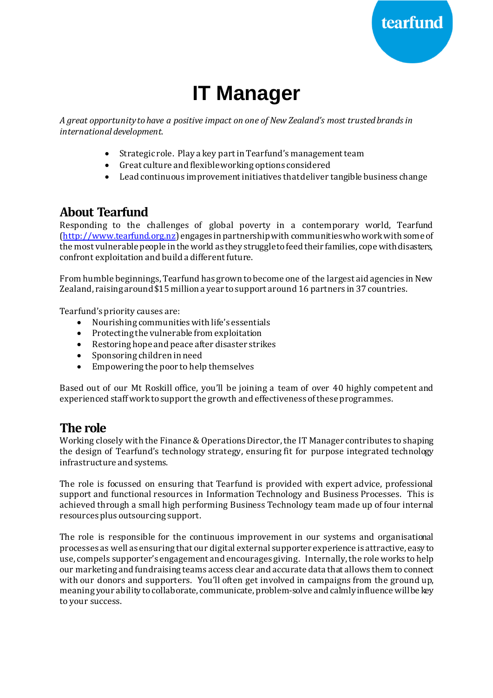

# **IT Manager**

*A great opportunity to have a positive impact on one of New Zealand's most trusted brands in international development.*

- Strategic role. Play a key part in Tearfund's management team
- Great culture and flexible working options considered
- Lead continuous improvement initiatives thatdeliver tangible business change

### **About Tearfund**

Responding to the challenges of global poverty in a contemporary world, Tearfund [\(http://www.tearfund.org.nz](http://www.tearfund.org.nz/)) engages in partnership with communities who work with some of the most vulnerable people in the world as they struggle to feed their families, cope with disasters, confront exploitation and build a different future.

From humble beginnings, Tearfund has grown to become one of the largest aid agencies in New Zealand, raising around \$15 million a year to support around 16 partners in 37 countries.

Tearfund's priority causes are:

- Nourishing communities with life's essentials
- Protecting the vulnerable from exploitation
- Restoring hope and peace after disaster strikes
- Sponsoring children in need
- Empowering the poor to help themselves

Based out of our Mt Roskill office, you'll be joining a team of over 40 highly competent and experienced staff work to support the growth and effectiveness of these programmes.

#### **The role**

Working closely with the Finance & Operations Director, the IT Manager contributes to shaping the design of Tearfund's technology strategy, ensuring fit for purpose integrated technology infrastructure and systems.

The role is focussed on ensuring that Tearfund is provided with expert advice, professional support and functional resources in Information Technology and Business Processes. This is achieved through a small high performing Business Technology team made up of four internal resources plus outsourcing support.

The role is responsible for the continuous improvement in our systems and organisational processes as well as ensuring that our digital external supporter experience is attractive, easy to use, compels supporter's engagement and encourages giving. Internally, the role works to help our marketing and fundraising teams access clear and accurate data that allows them to connect with our donors and supporters. You'll often get involved in campaigns from the ground up, meaning your ability to collaborate, communicate, problem-solve and calmly influence will be key to your success.